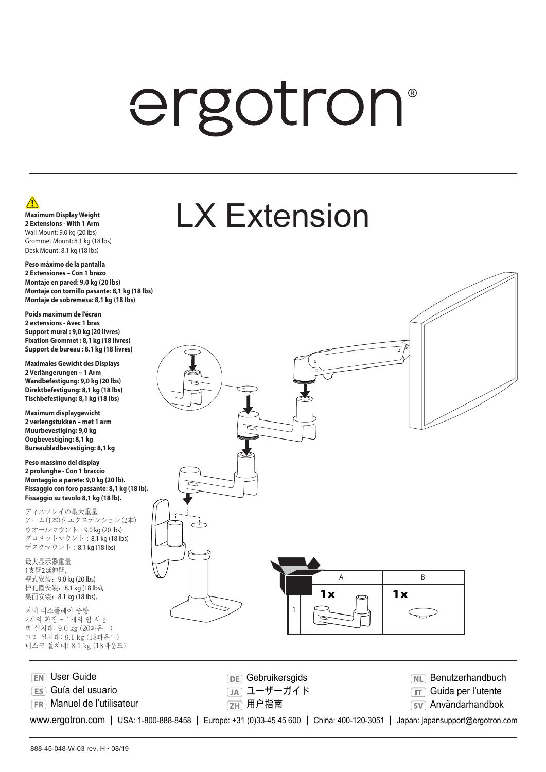# ergotron®

LX Extension

### $\sqrt{N}$ **Maximum Display Weight 2 Extensions - With 1 Arm** Wall Mount: 9.0 kg (20 lbs) Grommet Mount: 8.1 kg (18 lbs) Desk Mount: 8.1 kg (18 lbs)

**Peso máximo de la pantalla 2 Extensiones – Con 1 brazo Montaje en pared: 9,0 kg (20 lbs) Montaje con tornillo pasante: 8,1 kg (18 lbs) Montaje de sobremesa: 8,1 kg (18 lbs)**

**Poids maximum de l'écran 2 extensions - Avec 1 bras Support mural : 9,0 kg (20 livres) Fixation Grommet : 8,1 kg (18 livres) Support de bureau : 8,1 kg (18 livres)**

**Maximales Gewicht des Displays 2 Verlängerungen – 1 Arm Wandbefestigung: 9,0 kg (20 lbs) Direktbefestigung: 8,1 kg (18 lbs) Tischbefestigung: 8,1 kg (18 lbs)**

**Maximum displaygewicht 2 verlengstukken – met 1 arm Muurbevestiging: 9,0 kg Oogbevestiging: 8,1 kg Bureaubladbevestiging: 8,1 kg**

**Peso massimo del display 2 prolunghe - Con 1 braccio Montaggio a parete: 9,0 kg (20 lb). Fissaggio con foro passante: 8,1 kg (18 lb). Fissaggio su tavolo 8,1 kg (18 lb).**

ディスプレイの最大重量 アーム(1本)付エクステンション(2本) ウオールマウント:9.0 kg (20 lbs) グロメットマウント:8.1 kg (18 lbs) デスクマウント:8.1 kg (18 lbs)

最大显示器重量 1支臂2延伸臂, 壁式安装: 9.0 kg (20 lbs) 护孔圈安装:8.1 kg (18 lbs), 桌面安装:8.1 kg (18 lbs),

최대 디스플레이 중량 2개의 확장 - 1개의 암 사용 벽 설치대: 9.0 kg (20파운드) 고리 설치대: 8.1 kg (18파운드) 데스크 설치대: 8.1 kg (18파운드)



www.ergotron.com **|** USA: 1-800-888-8458 **|** Europe: +31 (0)33-45 45 600 **|** China: 400-120-3051 **|** Japan: japansupport@ergotron.com **SV** Användarhandbok  $\sqrt{1}$  Guida per l'utente **NL** Benutzerhandbuch [ZH] 用户指南 ユーザーガイド **DE** Gebruikersgids **FR** Manuel de l'utilisateur **ES** Guía del usuario **EN** User Guide